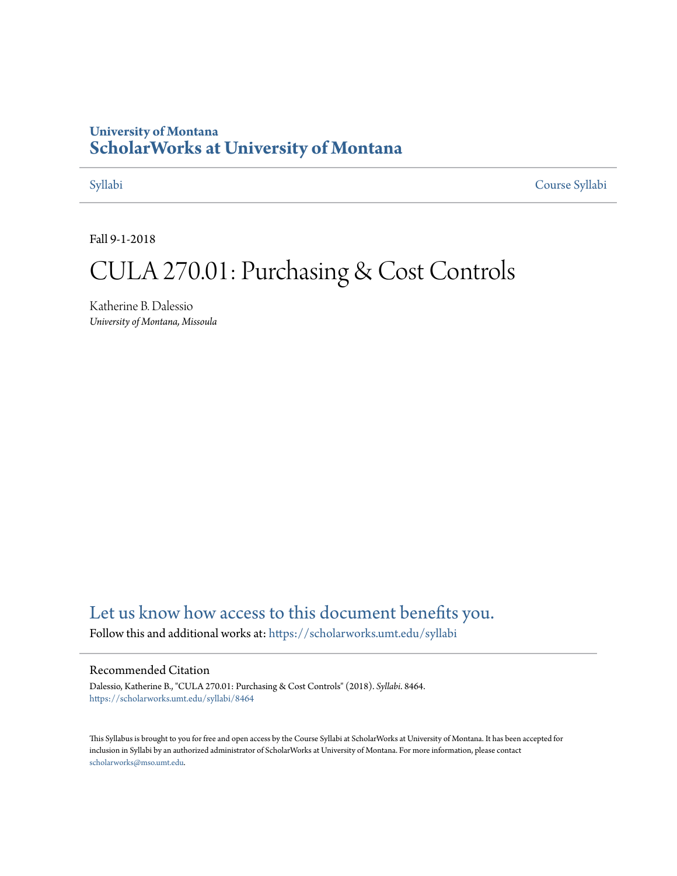#### **University of Montana [ScholarWorks at University of Montana](https://scholarworks.umt.edu?utm_source=scholarworks.umt.edu%2Fsyllabi%2F8464&utm_medium=PDF&utm_campaign=PDFCoverPages)**

[Syllabi](https://scholarworks.umt.edu/syllabi?utm_source=scholarworks.umt.edu%2Fsyllabi%2F8464&utm_medium=PDF&utm_campaign=PDFCoverPages) [Course Syllabi](https://scholarworks.umt.edu/course_syllabi?utm_source=scholarworks.umt.edu%2Fsyllabi%2F8464&utm_medium=PDF&utm_campaign=PDFCoverPages)

Fall 9-1-2018

# CULA 270.01: Purchasing & Cost Controls

Katherine B. Dalessio *University of Montana, Missoula*

#### [Let us know how access to this document benefits you.](https://goo.gl/forms/s2rGfXOLzz71qgsB2)

Follow this and additional works at: [https://scholarworks.umt.edu/syllabi](https://scholarworks.umt.edu/syllabi?utm_source=scholarworks.umt.edu%2Fsyllabi%2F8464&utm_medium=PDF&utm_campaign=PDFCoverPages)

#### Recommended Citation

Dalessio, Katherine B., "CULA 270.01: Purchasing & Cost Controls" (2018). *Syllabi*. 8464. [https://scholarworks.umt.edu/syllabi/8464](https://scholarworks.umt.edu/syllabi/8464?utm_source=scholarworks.umt.edu%2Fsyllabi%2F8464&utm_medium=PDF&utm_campaign=PDFCoverPages)

This Syllabus is brought to you for free and open access by the Course Syllabi at ScholarWorks at University of Montana. It has been accepted for inclusion in Syllabi by an authorized administrator of ScholarWorks at University of Montana. For more information, please contact [scholarworks@mso.umt.edu](mailto:scholarworks@mso.umt.edu).